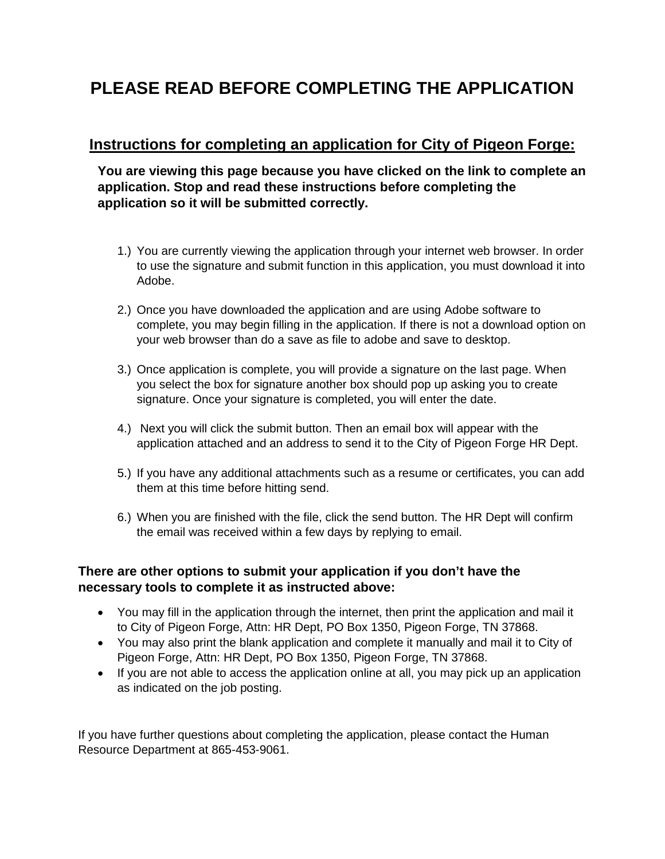#### **PLEASE READ BEFORE COMPLETING THE APPLICATION**

#### **Instructions for completing an application for City of Pigeon Forge:**

**You are viewing this page because you have clicked on the link to complete an application. Stop and read these instructions before completing the application so it will be submitted correctly.**

- 1.) You are currently viewing the application through your internet web browser. In order to use the signature and submit function in this application, you must download it into Adobe.
- 2.) Once you have downloaded the application and are using Adobe software to complete, you may begin filling in the application. If there is not a download option on your web browser than do a save as file to adobe and save to desktop.
- 3.) Once application is complete, you will provide a signature on the last page. When you select the box for signature another box should pop up asking you to create signature. Once your signature is completed, you will enter the date.
- 4.) Next you will click the submit button. Then an email box will appear with the application attached and an address to send it to the City of Pigeon Forge HR Dept.
- 5.) If you have any additional attachments such as a resume or certificates, you can add them at this time before hitting send.
- 6.) When you are finished with the file, click the send button. The HR Dept will confirm the email was received within a few days by replying to email.

#### **There are other options to submit your application if you don't have the necessary tools to complete it as instructed above:**

- You may fill in the application through the internet, then print the application and mail it to City of Pigeon Forge, Attn: HR Dept, PO Box 1350, Pigeon Forge, TN 37868.
- You may also print the blank application and complete it manually and mail it to City of Pigeon Forge, Attn: HR Dept, PO Box 1350, Pigeon Forge, TN 37868.
- If you are not able to access the application online at all, you may pick up an application as indicated on the job posting.

If you have further questions about completing the application, please contact the Human Resource Department at 865-453-9061.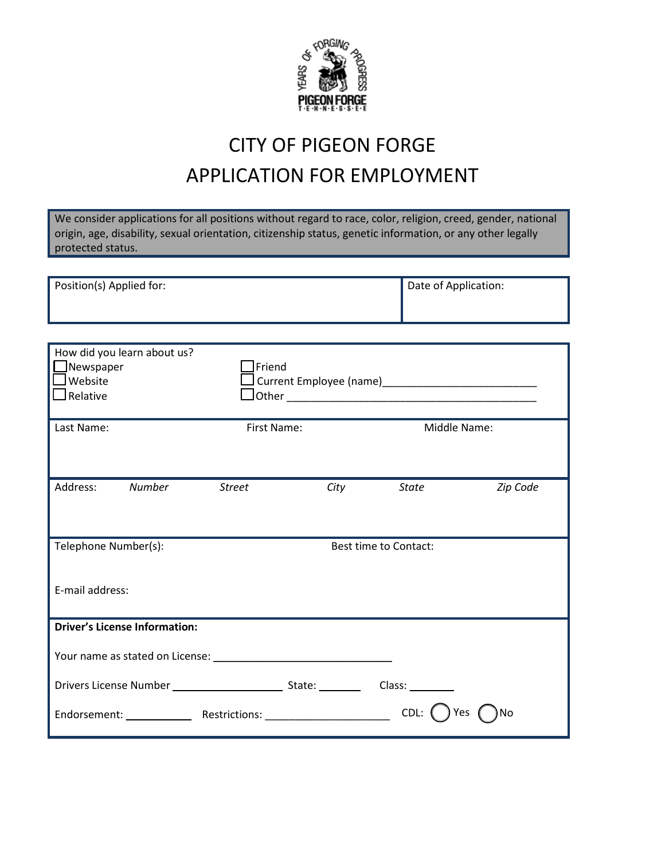

# CITY OF PIGEON FORGE APPLICATION FOR EMPLOYMENT

We consider applications for all positions without regard to race, color, religion, creed, gender, national origin, age, disability, sexual orientation, citizenship status, genetic information, or any other legally protected status.

| Position(s) Applied for: | Date of Application: |
|--------------------------|----------------------|
|                          |                      |

| How did you learn about us?<br>Newspaper<br>Website<br>$\sqrt{}$ Relative | $]$ Friend    |                       |           |
|---------------------------------------------------------------------------|---------------|-----------------------|-----------|
| Last Name:                                                                | First Name:   | Middle Name:          |           |
| Address:<br>Number                                                        | <b>Street</b> | City State            | Zip Code  |
| Telephone Number(s):                                                      |               | Best time to Contact: |           |
| E-mail address:                                                           |               |                       |           |
| <b>Driver's License Information:</b>                                      |               |                       |           |
|                                                                           |               |                       |           |
|                                                                           |               | Class:                |           |
|                                                                           |               | CDL:                  | Yes<br>No |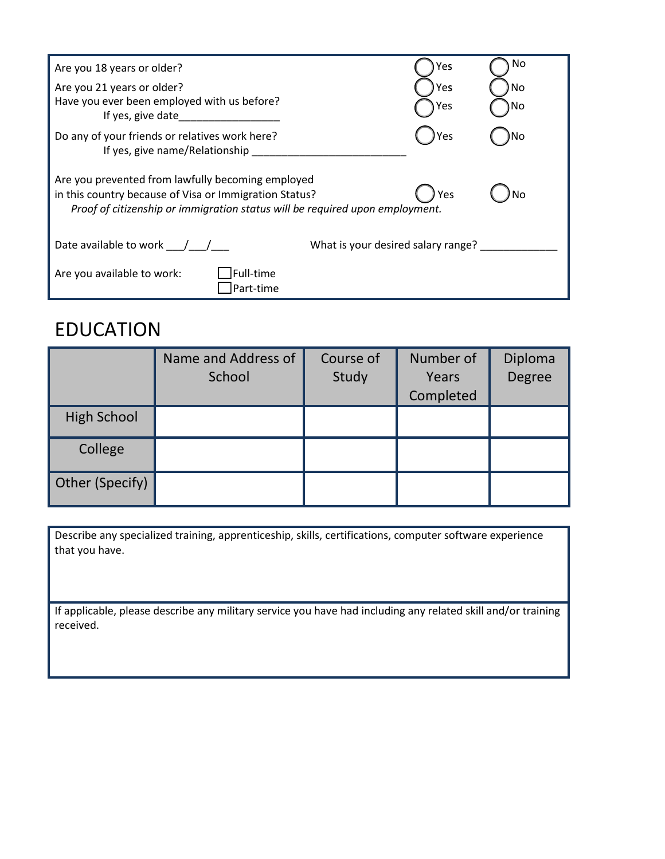| Are you 18 years or older?                                                                                                                                                                  | Yes        | No |
|---------------------------------------------------------------------------------------------------------------------------------------------------------------------------------------------|------------|----|
| Are you 21 years or older?<br>Have you ever been employed with us before?<br>If yes, give date                                                                                              | Yes<br>Yes | No |
| Do any of your friends or relatives work here?<br>If yes, give name/Relationship                                                                                                            | ) Yes      |    |
| Are you prevented from lawfully becoming employed<br>in this country because of Visa or Immigration Status?<br>Proof of citizenship or immigration status will be required upon employment. | Yes        | No |
| Date available to work $\left( \begin{array}{cc} \end{array} \right)$<br>What is your desired salary range?                                                                                 |            |    |
| Full-time<br>Are you available to work:<br>Part-time                                                                                                                                        |            |    |

#### EDUCATION

|                    | Name and Address of<br>School | Course of<br>Study | Number of<br>Years<br>Completed | Diploma<br>Degree |
|--------------------|-------------------------------|--------------------|---------------------------------|-------------------|
| <b>High School</b> |                               |                    |                                 |                   |
| College            |                               |                    |                                 |                   |
| Other (Specify)    |                               |                    |                                 |                   |

Describe any specialized training, apprenticeship, skills, certifications, computer software experience that you have.

If applicable, please describe any military service you have had including any related skill and/or training received.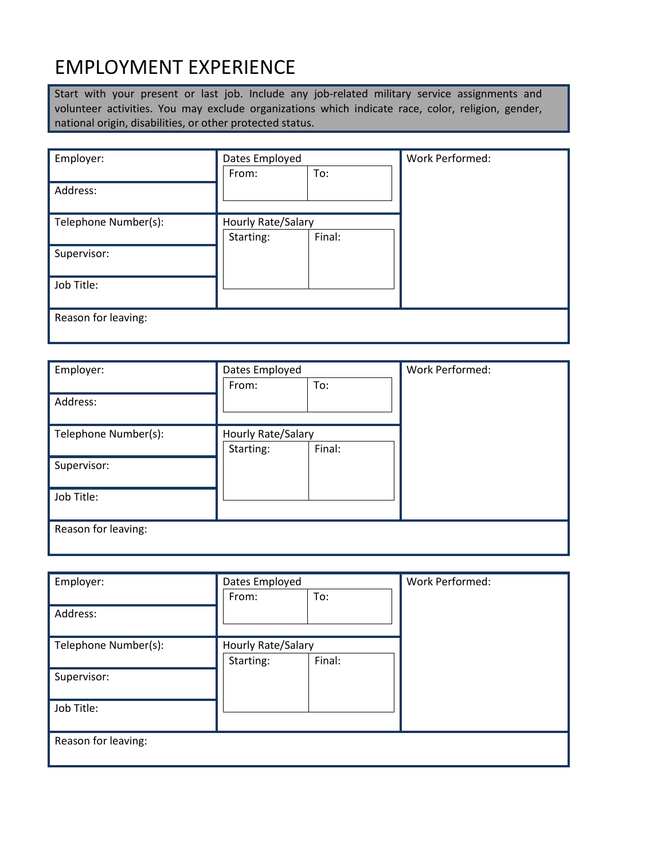## EMPLOYMENT EXPERIENCE

Start with your present or last job. Include any job-related military service assignments and volunteer activities. You may exclude organizations which indicate race, color, religion, gender, national origin, disabilities, or other protected status.

| Employer:            | Dates Employed     |        | Work Performed: |
|----------------------|--------------------|--------|-----------------|
|                      | From:              | To:    |                 |
| Address:             |                    |        |                 |
|                      |                    |        |                 |
| Telephone Number(s): | Hourly Rate/Salary |        |                 |
|                      | Starting:          | Final: |                 |
| Supervisor:          |                    |        |                 |
| Job Title:           |                    |        |                 |
|                      |                    |        |                 |
| Reason for leaving:  |                    |        |                 |
|                      |                    |        |                 |

| Employer:            | Dates Employed     |        | Work Performed: |
|----------------------|--------------------|--------|-----------------|
|                      | From:              | To:    |                 |
| Address:             |                    |        |                 |
|                      |                    |        |                 |
| Telephone Number(s): | Hourly Rate/Salary |        |                 |
|                      | Starting:          | Final: |                 |
| Supervisor:          |                    |        |                 |
|                      |                    |        |                 |
| Job Title:           |                    |        |                 |
|                      |                    |        |                 |
| Reason for leaving:  |                    |        |                 |
|                      |                    |        |                 |

| Employer:            | Dates Employed     |        | Work Performed: |
|----------------------|--------------------|--------|-----------------|
|                      | From:              | To:    |                 |
| Address:             |                    |        |                 |
|                      |                    |        |                 |
| Telephone Number(s): | Hourly Rate/Salary |        |                 |
|                      | Starting:          | Final: |                 |
| Supervisor:          |                    |        |                 |
|                      |                    |        |                 |
| Job Title:           |                    |        |                 |
|                      |                    |        |                 |
| Reason for leaving:  |                    |        |                 |
|                      |                    |        |                 |